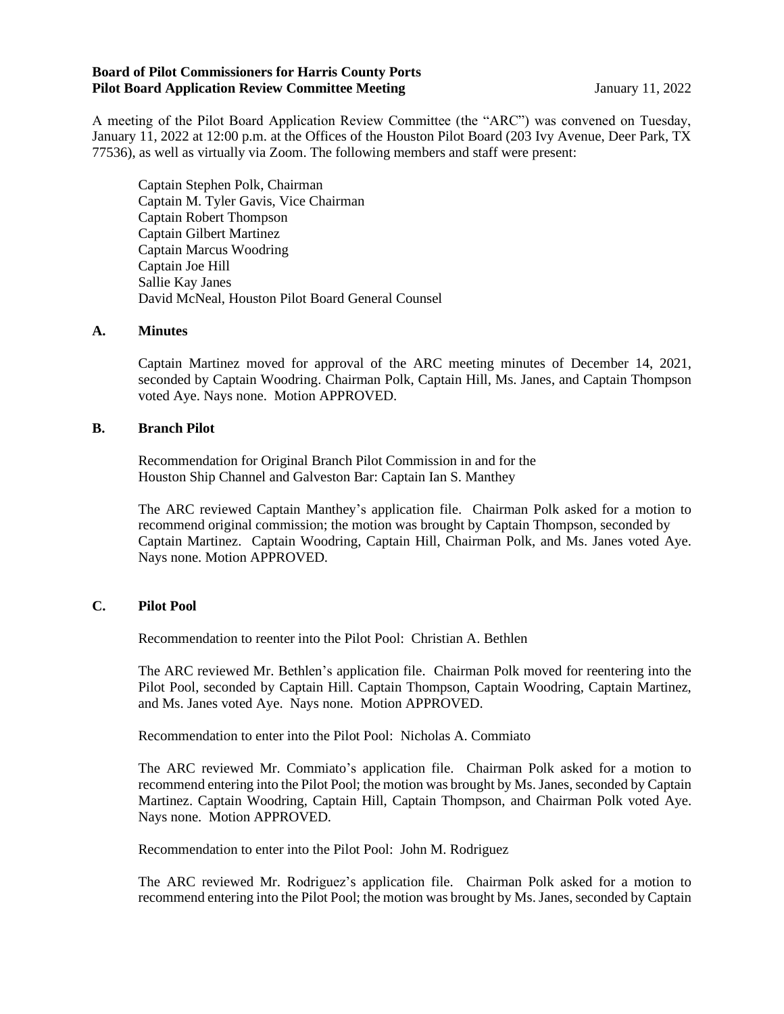## **Board of Pilot Commissioners for Harris County Ports Pilot Board Application Review Committee Meeting Server Application Server Application Review Committee Meeting**

A meeting of the Pilot Board Application Review Committee (the "ARC") was convened on Tuesday, January 11, 2022 at 12:00 p.m. at the Offices of the Houston Pilot Board (203 Ivy Avenue, Deer Park, TX 77536), as well as virtually via Zoom. The following members and staff were present:

Captain Stephen Polk, Chairman Captain M. Tyler Gavis, Vice Chairman Captain Robert Thompson Captain Gilbert Martinez Captain Marcus Woodring Captain Joe Hill Sallie Kay Janes David McNeal, Houston Pilot Board General Counsel

## **A. Minutes**

Captain Martinez moved for approval of the ARC meeting minutes of December 14, 2021, seconded by Captain Woodring. Chairman Polk, Captain Hill, Ms. Janes, and Captain Thompson voted Aye. Nays none. Motion APPROVED.

## **B. Branch Pilot**

Recommendation for Original Branch Pilot Commission in and for the Houston Ship Channel and Galveston Bar: Captain Ian S. Manthey

The ARC reviewed Captain Manthey's application file. Chairman Polk asked for a motion to recommend original commission; the motion was brought by Captain Thompson, seconded by Captain Martinez. Captain Woodring, Captain Hill, Chairman Polk, and Ms. Janes voted Aye. Nays none. Motion APPROVED.

## **C. Pilot Pool**

Recommendation to reenter into the Pilot Pool: Christian A. Bethlen

The ARC reviewed Mr. Bethlen's application file. Chairman Polk moved for reentering into the Pilot Pool, seconded by Captain Hill. Captain Thompson, Captain Woodring, Captain Martinez, and Ms. Janes voted Aye. Nays none. Motion APPROVED.

Recommendation to enter into the Pilot Pool: Nicholas A. Commiato

The ARC reviewed Mr. Commiato's application file. Chairman Polk asked for a motion to recommend entering into the Pilot Pool; the motion was brought by Ms. Janes, seconded by Captain Martinez. Captain Woodring, Captain Hill, Captain Thompson, and Chairman Polk voted Aye. Nays none. Motion APPROVED.

Recommendation to enter into the Pilot Pool: John M. Rodriguez

The ARC reviewed Mr. Rodriguez's application file. Chairman Polk asked for a motion to recommend entering into the Pilot Pool; the motion was brought by Ms. Janes, seconded by Captain